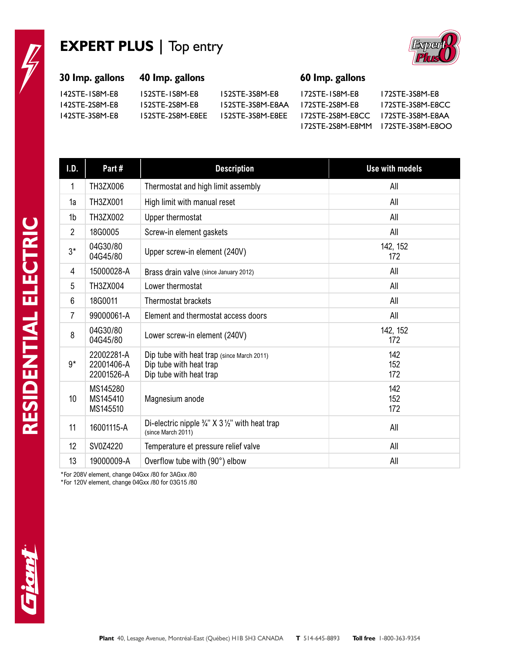## **EXPERT PLUS |** Top entry



## **30 Imp. gallons 40 Imp. gallons 60 Imp. gallons**

142STE-1S8M-E8 152STE-1S8M-E8 152STE-3S8M-E8 172STE-1S8M-E8 172STE-3S8M-E8 142STE-2S8M-E8 152STE-2S8M-E8 152STE-3S8M-E8AA 172STE-2S8M-E8 172STE-3S8M-E8CC 142STE-3S8M-E8 152STE-2S8M-E8EE 152STE-3S8M-E8EE 172STE-2S8M-E8CC 172STE-3S8M-E8AA 172STE-2S8M-E8MM 172STE-3S8M-E8OO

| I.D.           | Part#                                  | <b>Description</b>                                                                               | <b>Use with models</b> |
|----------------|----------------------------------------|--------------------------------------------------------------------------------------------------|------------------------|
| 1              | <b>TH3ZX006</b>                        | Thermostat and high limit assembly                                                               | All                    |
| 1a             | TH3ZX001                               | High limit with manual reset                                                                     | All                    |
| 1b             | TH3ZX002                               | Upper thermostat                                                                                 | All                    |
| $\overline{2}$ | 18G0005                                | Screw-in element gaskets                                                                         | All                    |
| $3^*$          | 04G30/80<br>04G45/80                   | Upper screw-in element (240V)                                                                    | 142, 152<br>172        |
| 4              | 15000028-A                             | Brass drain valve (since January 2012)                                                           | All                    |
| 5              | TH3ZX004                               | Lower thermostat                                                                                 | All                    |
| 6              | 18G0011                                | Thermostat brackets                                                                              | All                    |
| $\overline{7}$ | 99000061-A                             | Element and thermostat access doors                                                              | All                    |
| 8              | 04G30/80<br>04G45/80                   | Lower screw-in element (240V)                                                                    | 142, 152<br>172        |
| $9*$           | 22002281-A<br>22001406-A<br>22001526-A | Dip tube with heat trap (since March 2011)<br>Dip tube with heat trap<br>Dip tube with heat trap | 142<br>152<br>172      |
| 10             | MS145280<br>MS145410<br>MS145510       | Magnesium anode                                                                                  | 142<br>152<br>172      |
| 11             | 16001115-A                             | Di-electric nipple $\frac{3}{4}$ " X 3 $\frac{1}{2}$ " with heat trap<br>(since March 2011)      | All                    |
| 12             | SV0Z4220                               | Temperature et pressure relief valve                                                             | All                    |
| 13             | 19000009-A                             | Overflow tube with (90°) elbow                                                                   | All                    |

\*For 208V element, change 04Gxx /80 for 3AGxx /80

\*For 120V element, change 04Gxx /80 for 03G15 /80